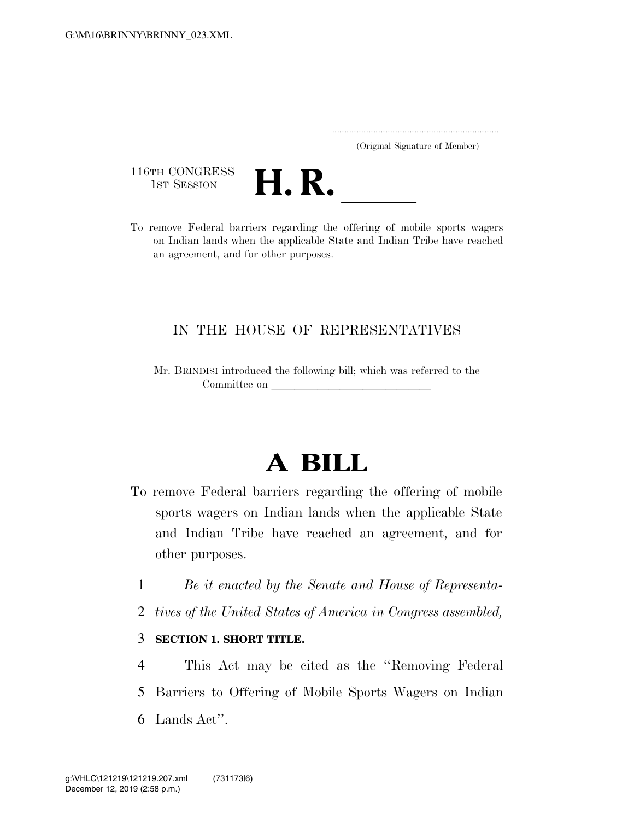..................................................................... (Original Signature of Member)

116TH CONGRESS<br>1st Session



116TH CONGRESS<br>1st SESSION **H. R.** <u>Intersection of the offering</u> of mobile sports wagers on Indian lands when the applicable State and Indian Tribe have reached an agreement, and for other purposes.

# IN THE HOUSE OF REPRESENTATIVES

Mr. BRINDISI introduced the following bill; which was referred to the Committee on

# **A BILL**

- To remove Federal barriers regarding the offering of mobile sports wagers on Indian lands when the applicable State and Indian Tribe have reached an agreement, and for other purposes.
	- 1 *Be it enacted by the Senate and House of Representa-*
	- 2 *tives of the United States of America in Congress assembled,*
	- 3 **SECTION 1. SHORT TITLE.**

4 This Act may be cited as the ''Removing Federal 5 Barriers to Offering of Mobile Sports Wagers on Indian 6 Lands Act''.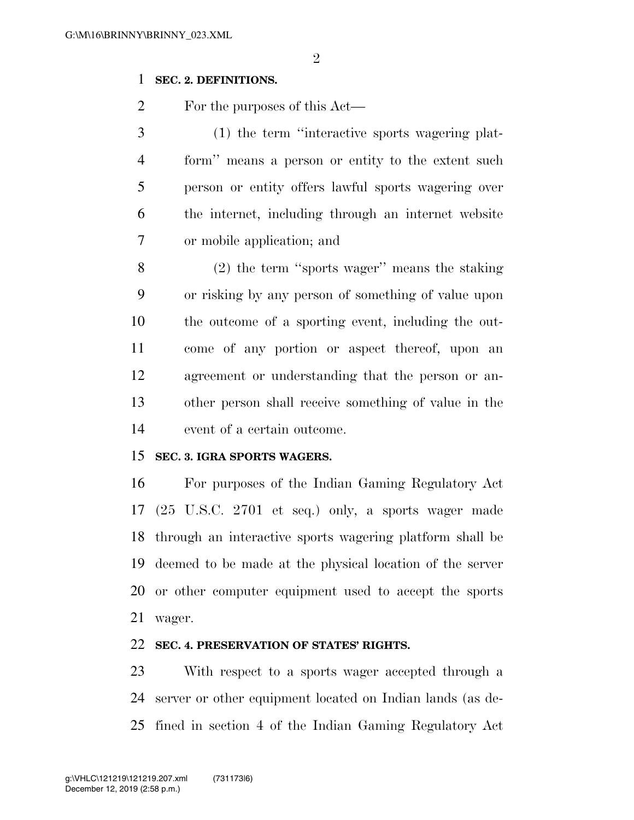## **SEC. 2. DEFINITIONS.**

For the purposes of this Act—

 (1) the term ''interactive sports wagering plat- form'' means a person or entity to the extent such person or entity offers lawful sports wagering over the internet, including through an internet website or mobile application; and

 (2) the term ''sports wager'' means the staking or risking by any person of something of value upon the outcome of a sporting event, including the out- come of any portion or aspect thereof, upon an agreement or understanding that the person or an- other person shall receive something of value in the event of a certain outcome.

## **SEC. 3. IGRA SPORTS WAGERS.**

 For purposes of the Indian Gaming Regulatory Act (25 U.S.C. 2701 et seq.) only, a sports wager made through an interactive sports wagering platform shall be deemed to be made at the physical location of the server or other computer equipment used to accept the sports wager.

#### **SEC. 4. PRESERVATION OF STATES' RIGHTS.**

 With respect to a sports wager accepted through a server or other equipment located on Indian lands (as de-fined in section 4 of the Indian Gaming Regulatory Act